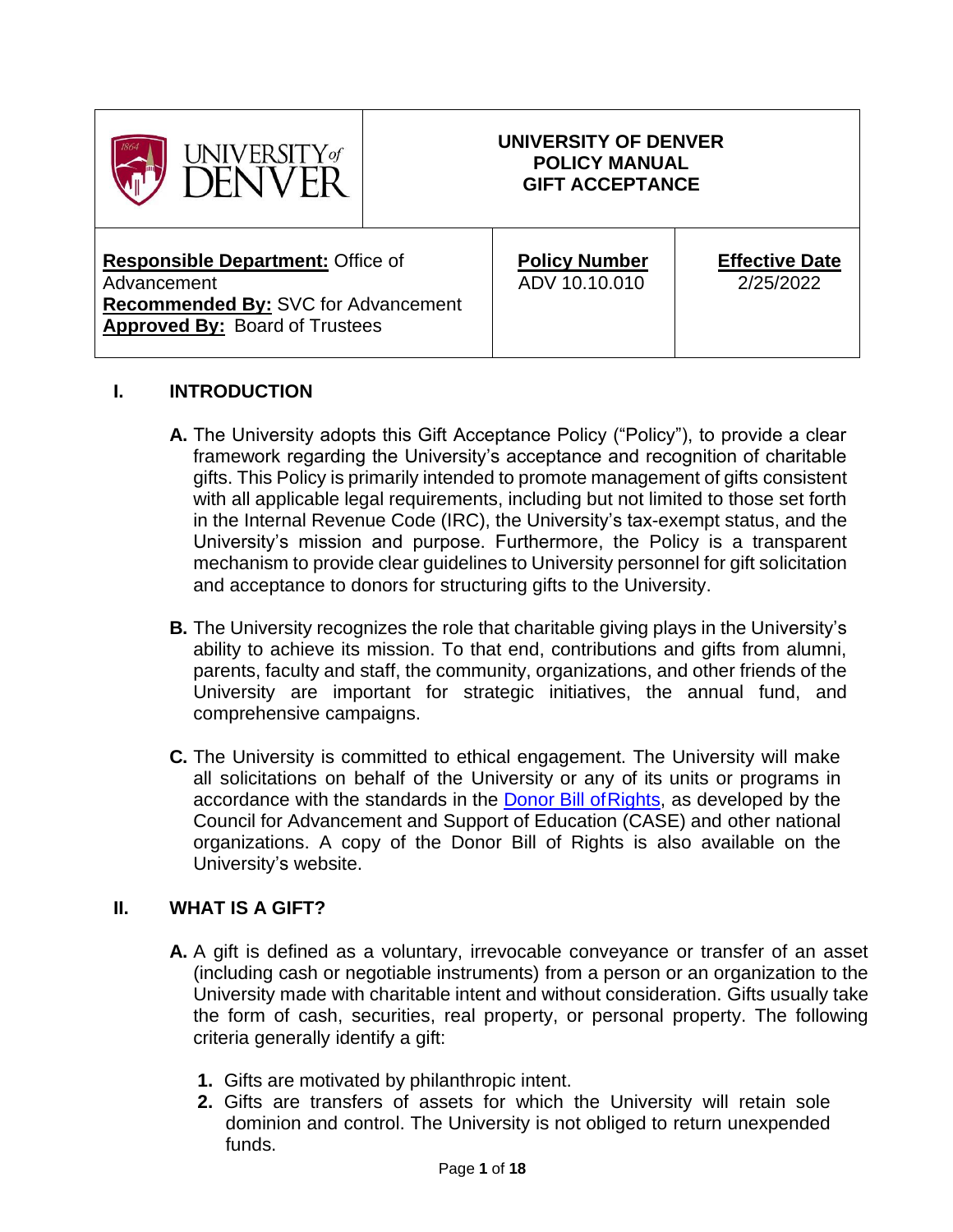| $JIVERSTITY$ of                                                                                                                                |  | UNIVERSITY OF DENVER<br><b>POLICY MANUAL</b><br><b>GIFT ACCEPTANCE</b> |                                    |
|------------------------------------------------------------------------------------------------------------------------------------------------|--|------------------------------------------------------------------------|------------------------------------|
| <b>Responsible Department: Office of</b><br>Advancement<br><b>Recommended By: SVC for Advancement</b><br><b>Approved By: Board of Trustees</b> |  | <b>Policy Number</b><br>ADV 10.10.010                                  | <b>Effective Date</b><br>2/25/2022 |

## **I. INTRODUCTION**

- **A.** The University adopts this Gift Acceptance Policy ("Policy"), to provide a clear framework regarding the University's acceptance and recognition of charitable gifts. This Policy is primarily intended to promote management of gifts consistent with all applicable legal requirements, including but not limited to those set forth in the Internal Revenue Code (IRC), the University's tax-exempt status, and the University's mission and purpose. Furthermore, the Policy is a transparent mechanism to provide clear guidelines to University personnel for gift solicitation and acceptance to donors for structuring gifts to the University.
- **B.** The University recognizes the role that charitable giving plays in the University's ability to achieve its mission. To that end, contributions and gifts from alumni, parents, faculty and staff, the community, organizations, and other friends of the University are important for strategic initiatives, the annual fund, and comprehensive campaigns.
- **C.** The University is committed to ethical engagement. The University will make all solicitations on behalf of the University or any of its units or programs in accordance with the standards in the Donor Bill of Rights, as developed by the Council for Advancement and Support of Education (CASE) and other national organizations. A copy of the Donor Bill of Rights is also available on the University's website.

#### **II. WHAT IS A GIFT?**

- **A.** A gift is defined as a voluntary, irrevocable conveyance or transfer of an asset (including cash or negotiable instruments) from a person or an organization to the University made with charitable intent and without consideration. Gifts usually take the form of cash, securities, real property, or personal property. The following criteria generally identify a gift:
	- **1.** Gifts are motivated by philanthropic intent.
	- **2.** Gifts are transfers of assets for which the University will retain sole dominion and control. The University is not obliged to return unexpended funds.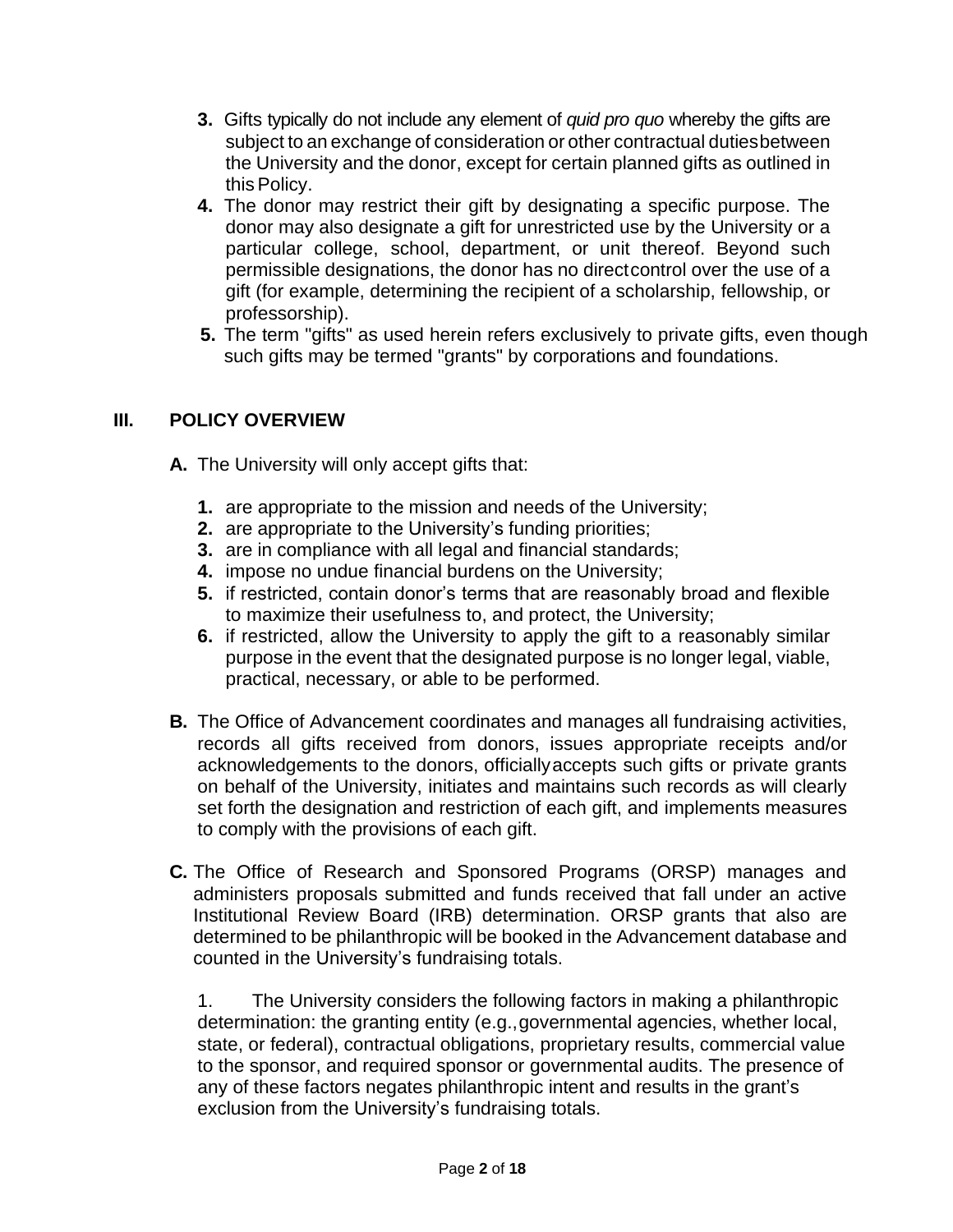- **3.** Gifts typically do not include any element of *quid pro quo* whereby the gifts are subject to an exchange of consideration or other contractual dutiesbetween the University and the donor, except for certain planned gifts as outlined in this Policy.
- **4.** The donor may restrict their gift by designating a specific purpose. The donor may also designate a gift for unrestricted use by the University or a particular college, school, department, or unit thereof. Beyond such permissible designations, the donor has no directcontrol over the use of a gift (for example, determining the recipient of a scholarship, fellowship, or professorship).
- **5.** The term "gifts" as used herein refers exclusively to private gifts, even though such gifts may be termed "grants" by corporations and foundations.

## **III. POLICY OVERVIEW**

**A.** The University will only accept gifts that:

- **1.** are appropriate to the mission and needs of the University;
- **2.** are appropriate to the University's funding priorities;
- **3.** are in compliance with all legal and financial standards;
- **4.** impose no undue financial burdens on the University;
- **5.** if restricted, contain donor's terms that are reasonably broad and flexible to maximize their usefulness to, and protect, the University;
- **6.** if restricted, allow the University to apply the gift to a reasonably similar purpose in the event that the designated purpose is no longer legal, viable, practical, necessary, or able to be performed.
- **B.** The Office of Advancement coordinates and manages all fundraising activities, records all gifts received from donors, issues appropriate receipts and/or acknowledgements to the donors, officiallyaccepts such gifts or private grants on behalf of the University, initiates and maintains such records as will clearly set forth the designation and restriction of each gift, and implements measures to comply with the provisions of each gift.
- **C.** The Office of Research and Sponsored Programs (ORSP) manages and administers proposals submitted and funds received that fall under an active Institutional Review Board (IRB) determination. ORSP grants that also are determined to be philanthropic will be booked in the Advancement database and counted in the University's fundraising totals.

1. The University considers the following factors in making a philanthropic determination: the granting entity (e.g.,governmental agencies, whether local, state, or federal), contractual obligations, proprietary results, commercial value to the sponsor, and required sponsor or governmental audits. The presence of any of these factors negates philanthropic intent and results in the grant's exclusion from the University's fundraising totals.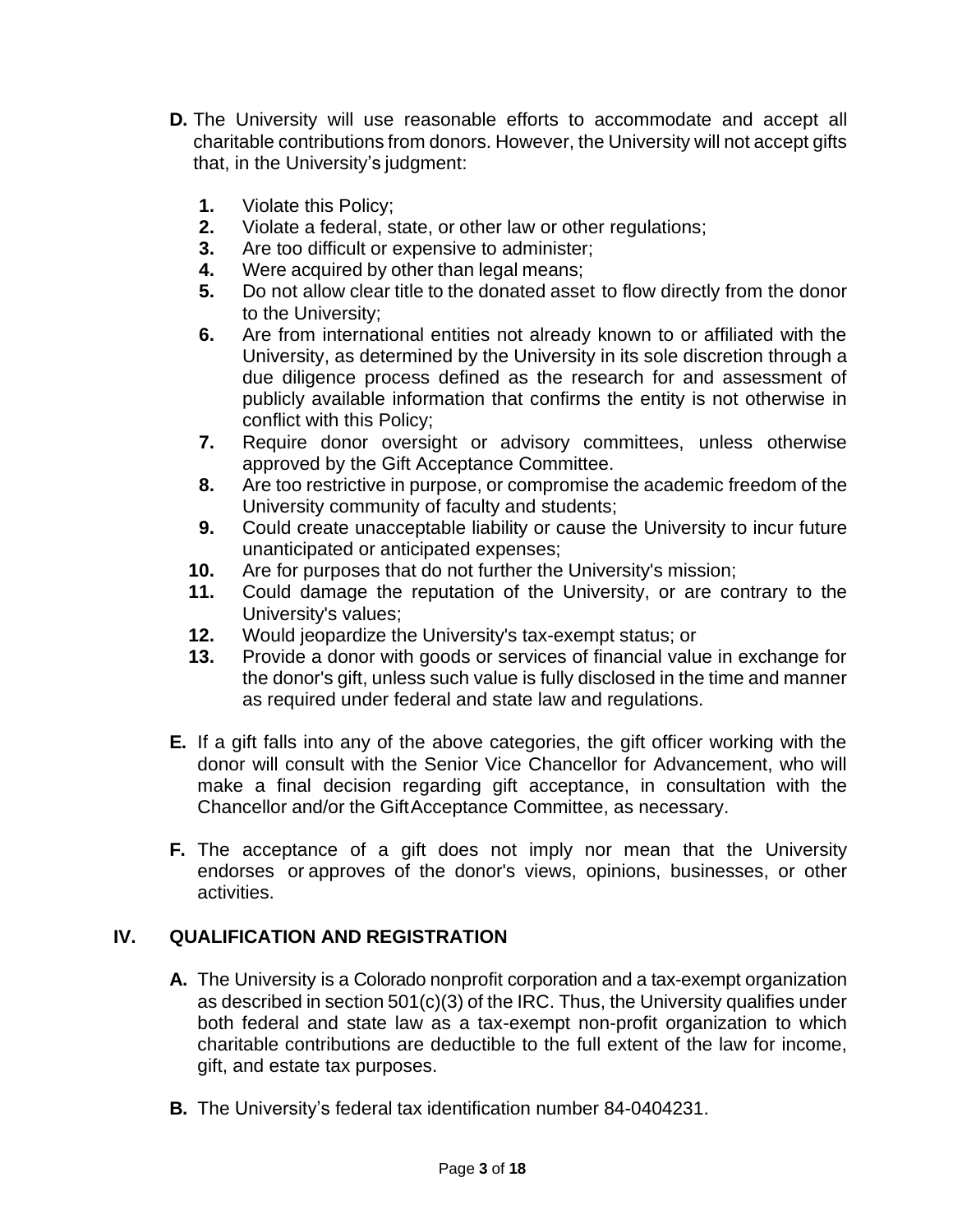- **D.** The University will use reasonable efforts to accommodate and accept all charitable contributions from donors. However, the University will not accept gifts that, in the University's judgment:
	- **1.** Violate this Policy;
	- **2.** Violate a federal, state, or other law or other regulations;
	- **3.** Are too difficult or expensive to administer;
	- **4.** Were acquired by other than legal means;
	- **5.** Do not allow clear title to the donated asset to flow directly from the donor to the University;
	- **6.** Are from international entities not already known to or affiliated with the University, as determined by the University in its sole discretion through a due diligence process defined as the research for and assessment of publicly available information that confirms the entity is not otherwise in conflict with this Policy;
	- **7.** Require donor oversight or advisory committees, unless otherwise approved by the Gift Acceptance Committee.
	- **8.** Are too restrictive in purpose, or compromise the academic freedom of the University community of faculty and students;
	- **9.** Could create unacceptable liability or cause the University to incur future unanticipated or anticipated expenses;
	- **10.** Are for purposes that do not further the University's mission;
	- **11.** Could damage the reputation of the University, or are contrary to the University's values;
	- **12.** Would jeopardize the University's tax-exempt status; or
	- **13.** Provide a donor with goods or services of financial value in exchange for the donor's gift, unless such value is fully disclosed in the time and manner as required under federal and state law and regulations.
- **E.** If a gift falls into any of the above categories, the gift officer working with the donor will consult with the Senior Vice Chancellor for Advancement, who will make a final decision regarding gift acceptance, in consultation with the Chancellor and/or the GiftAcceptance Committee, as necessary.
- **F.** The acceptance of a gift does not imply nor mean that the University endorses or approves of the donor's views, opinions, businesses, or other activities.

# **IV. QUALIFICATION AND REGISTRATION**

- **A.** The University is a Colorado nonprofit corporation and a tax-exempt organization as described in section 501(c)(3) of the IRC. Thus, the University qualifies under both federal and state law as a tax-exempt non-profit organization to which charitable contributions are deductible to the full extent of the law for income, gift, and estate tax purposes.
- **B.** The University's federal tax identification number 84-0404231.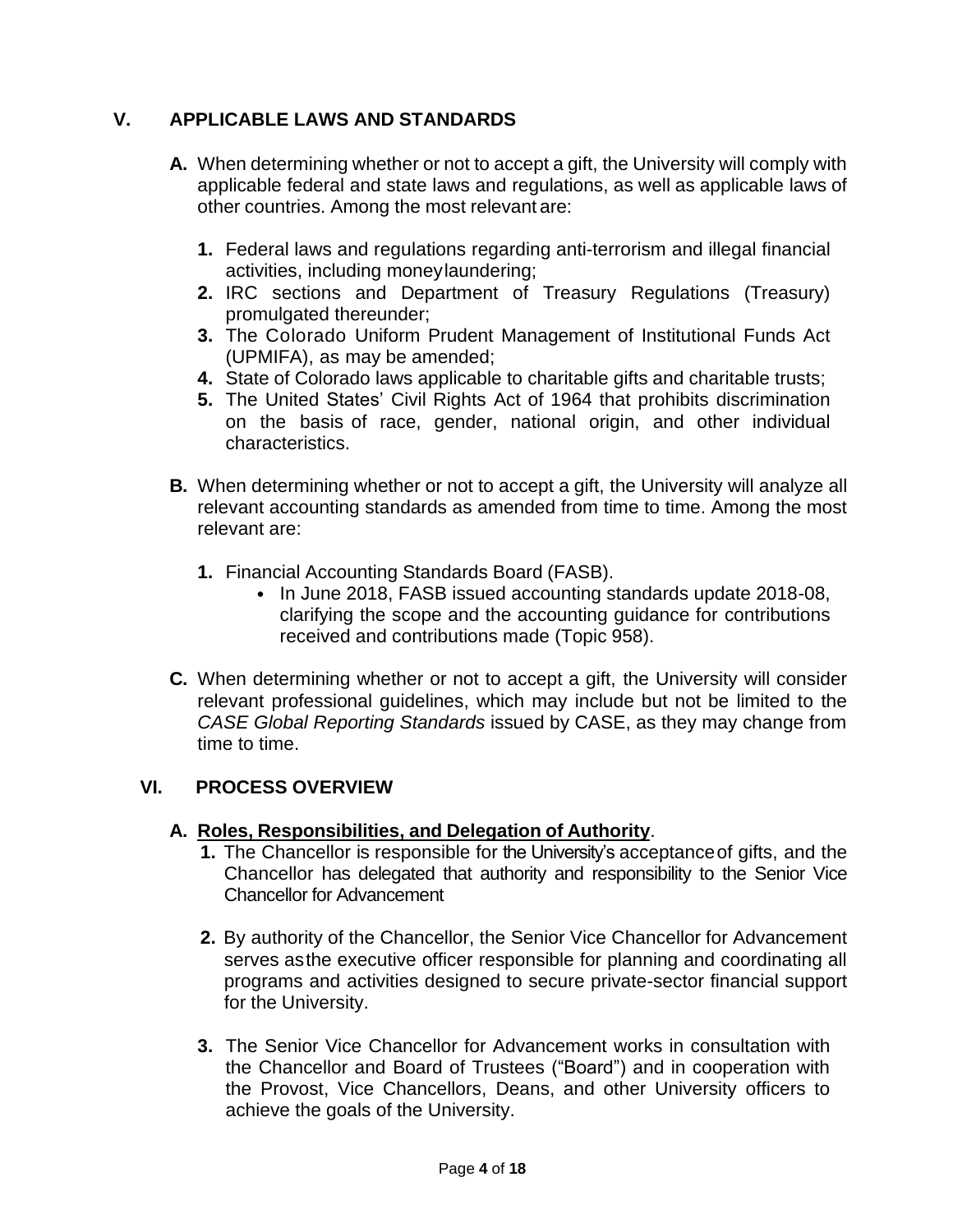# **V. APPLICABLE LAWS AND STANDARDS**

- **A.** When determining whether or not to accept a gift, the University will comply with applicable federal and state laws and regulations, as well as applicable laws of other countries. Among the most relevant are:
	- **1.** Federal laws and regulations regarding anti-terrorism and illegal financial activities, including moneylaundering;
	- **2.** IRC sections and Department of Treasury Regulations (Treasury) promulgated thereunder;
	- **3.** The Colorado Uniform Prudent Management of Institutional Funds Act (UPMIFA), as may be amended;
	- **4.** State of Colorado laws applicable to charitable gifts and charitable trusts;
	- **5.** The United States' Civil Rights Act of 1964 that prohibits discrimination on the basis of race, gender, national origin, and other individual characteristics.
- **B.** When determining whether or not to accept a gift, the University will analyze all relevant accounting standards as amended from time to time. Among the most relevant are:
	- **1.** Financial Accounting Standards Board (FASB).
		- In June 2018, FASB issued accounting standards update 2018-08, clarifying the scope and the accounting guidance for contributions received and contributions made (Topic 958).
- **C.** When determining whether or not to accept a gift, the University will consider relevant professional guidelines, which may include but not be limited to the *CASE Global Reporting Standards* issued by CASE, as they may change from time to time.

## **VI. PROCESS OVERVIEW**

#### **A. Roles, Responsibilities, and Delegation of Authority**.

- **1.** The Chancellor is responsible for the University's acceptanceof gifts, and the Chancellor has delegated that authority and responsibility to the Senior Vice Chancellor for Advancement
- **2.** By authority of the Chancellor, the Senior Vice Chancellor for Advancement serves asthe executive officer responsible for planning and coordinating all programs and activities designed to secure private-sector financial support for the University.
- **3.** The Senior Vice Chancellor for Advancement works in consultation with the Chancellor and Board of Trustees ("Board") and in cooperation with the Provost, Vice Chancellors, Deans, and other University officers to achieve the goals of the University.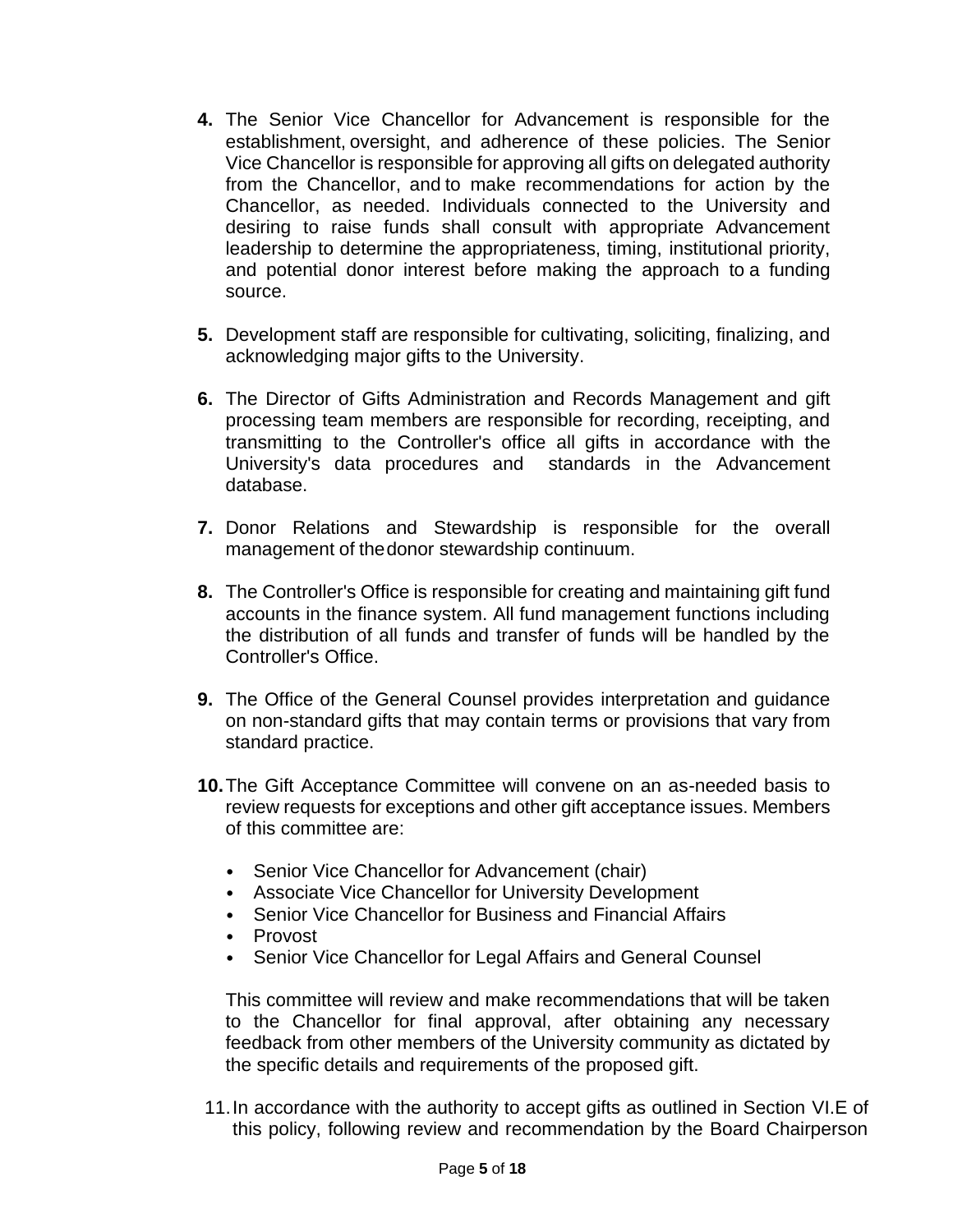- **4.** The Senior Vice Chancellor for Advancement is responsible for the establishment, oversight, and adherence of these policies. The Senior Vice Chancellor is responsible for approving all gifts on delegated authority from the Chancellor, and to make recommendations for action by the Chancellor, as needed. Individuals connected to the University and desiring to raise funds shall consult with appropriate Advancement leadership to determine the appropriateness, timing, institutional priority, and potential donor interest before making the approach to a funding source.
- **5.** Development staff are responsible for cultivating, soliciting, finalizing, and acknowledging major gifts to the University.
- **6.** The Director of Gifts Administration and Records Management and gift processing team members are responsible for recording, receipting, and transmitting to the Controller's office all gifts in accordance with the University's data procedures and standards in the Advancement database.
- **7.** Donor Relations and Stewardship is responsible for the overall management of thedonor stewardship continuum.
- **8.** The Controller's Office is responsible for creating and maintaining gift fund accounts in the finance system. All fund management functions including the distribution of all funds and transfer of funds will be handled by the Controller's Office.
- **9.** The Office of the General Counsel provides interpretation and guidance on non-standard gifts that may contain terms or provisions that vary from standard practice.
- **10.**The Gift Acceptance Committee will convene on an as-needed basis to review requests for exceptions and other gift acceptance issues. Members of this committee are:
	- Senior Vice Chancellor for Advancement (chair)
	- Associate Vice Chancellor for University Development
	- Senior Vice Chancellor for Business and Financial Affairs
	- Provost
	- Senior Vice Chancellor for Legal Affairs and General Counsel

This committee will review and make recommendations that will be taken to the Chancellor for final approval, after obtaining any necessary feedback from other members of the University community as dictated by the specific details and requirements of the proposed gift.

11.In accordance with the authority to accept gifts as outlined in Section VI.E of this policy, following review and recommendation by the Board Chairperson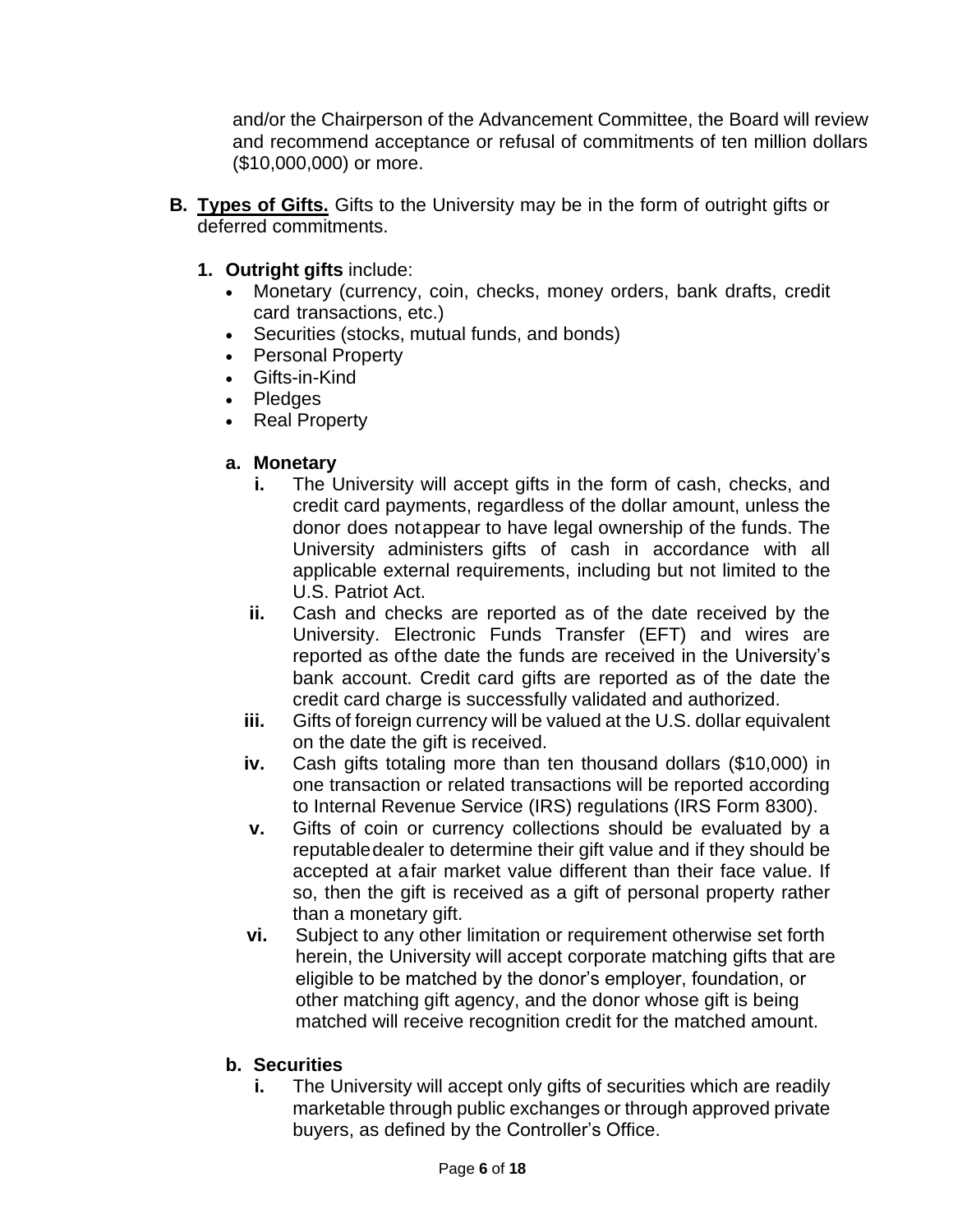and/or the Chairperson of the Advancement Committee, the Board will review and recommend acceptance or refusal of commitments of ten million dollars (\$10,000,000) or more.

- **B. Types of Gifts.** Gifts to the University may be in the form of outright gifts or deferred commitments.
	- **1. Outright gifts** include:
		- Monetary (currency, coin, checks, money orders, bank drafts, credit card transactions, etc.)
		- Securities (stocks, mutual funds, and bonds)
		- Personal Property
		- Gifts-in-Kind
		- Pledges
		- Real Property

#### **a. Monetary**

- **i.** The University will accept gifts in the form of cash, checks, and credit card payments, regardless of the dollar amount, unless the donor does notappear to have legal ownership of the funds. The University administers gifts of cash in accordance with all applicable external requirements, including but not limited to the U.S. Patriot Act.
- **ii.** Cash and checks are reported as of the date received by the University. Electronic Funds Transfer (EFT) and wires are reported as ofthe date the funds are received in the University's bank account. Credit card gifts are reported as of the date the credit card charge is successfully validated and authorized.
- **iii.** Gifts of foreign currency will be valued at the U.S. dollar equivalent on the date the gift is received.
- **iv.** Cash gifts totaling more than ten thousand dollars (\$10,000) in one transaction or related transactions will be reported according to Internal Revenue Service (IRS) regulations (IRS Form 8300).
- **v.** Gifts of coin or currency collections should be evaluated by a reputabledealer to determine their gift value and if they should be accepted at afair market value different than their face value. If so, then the gift is received as a gift of personal property rather than a monetary gift.
- **vi.** Subject to any other limitation or requirement otherwise set forth herein, the University will accept corporate matching gifts that are eligible to be matched by the donor's employer, foundation, or other matching gift agency, and the donor whose gift is being matched will receive recognition credit for the matched amount.
- **b. Securities**
	- **i.** The University will accept only gifts of securities which are readily marketable through public exchanges or through approved private buyers, as defined by the Controller's Office.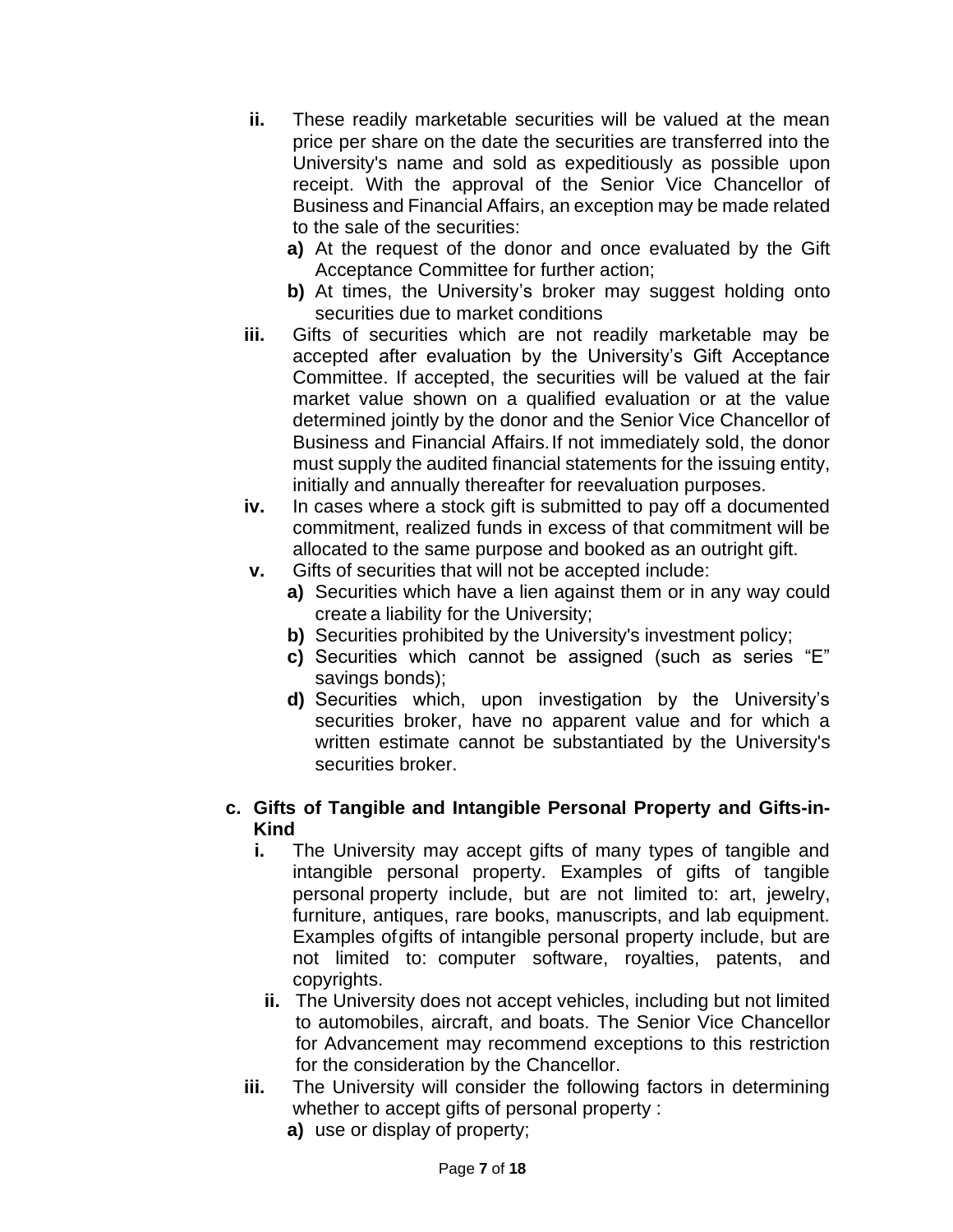- **ii.** These readily marketable securities will be valued at the mean price per share on the date the securities are transferred into the University's name and sold as expeditiously as possible upon receipt. With the approval of the Senior Vice Chancellor of Business and Financial Affairs, an exception may be made related to the sale of the securities:
	- **a)** At the request of the donor and once evaluated by the Gift Acceptance Committee for further action;
	- **b)** At times, the University's broker may suggest holding onto securities due to market conditions
- **iii.** Gifts of securities which are not readily marketable may be accepted after evaluation by the University's Gift Acceptance Committee. If accepted, the securities will be valued at the fair market value shown on a qualified evaluation or at the value determined jointly by the donor and the Senior Vice Chancellor of Business and Financial Affairs.If not immediately sold, the donor must supply the audited financial statements for the issuing entity, initially and annually thereafter for reevaluation purposes.
- **iv.** In cases where a stock gift is submitted to pay off a documented commitment, realized funds in excess of that commitment will be allocated to the same purpose and booked as an outright gift.
- **v.** Gifts of securities that will not be accepted include:
	- **a)** Securities which have a lien against them or in any way could create a liability for the University;
	- **b)** Securities prohibited by the University's investment policy:
	- **c)** Securities which cannot be assigned (such as series "E" savings bonds);
	- **d)** Securities which, upon investigation by the University's securities broker, have no apparent value and for which a written estimate cannot be substantiated by the University's securities broker.

#### **c. Gifts of Tangible and Intangible Personal Property and Gifts-in-Kind**

- **i.** The University may accept gifts of many types of tangible and intangible personal property. Examples of gifts of tangible personal property include, but are not limited to: art, jewelry, furniture, antiques, rare books, manuscripts, and lab equipment. Examples ofgifts of intangible personal property include, but are not limited to: computer software, royalties, patents, and copyrights.
- **ii.** The University does not accept vehicles, including but not limited to automobiles, aircraft, and boats. The Senior Vice Chancellor for Advancement may recommend exceptions to this restriction for the consideration by the Chancellor.
- **iii.** The University will consider the following factors in determining whether to accept gifts of personal property :
	- **a)** use or display of property;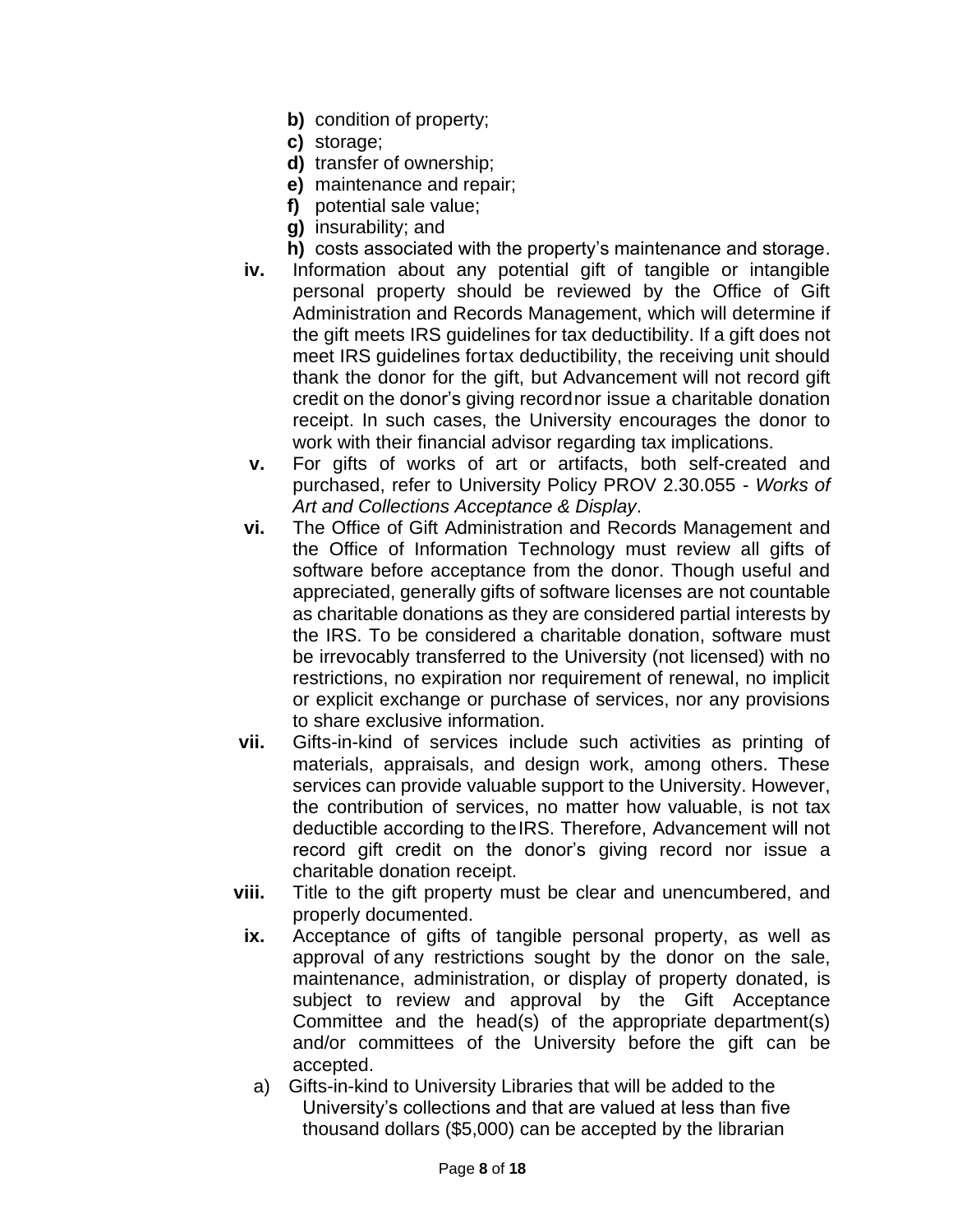- **b)** condition of property;
- **c)** storage;
- **d)** transfer of ownership;
- **e)** maintenance and repair;
- **f)** potential sale value;
- **g)** insurability; and
- **h)** costs associated with the property's maintenance and storage.
- **iv.** Information about any potential gift of tangible or intangible personal property should be reviewed by the Office of Gift Administration and Records Management, which will determine if the gift meets IRS guidelines for tax deductibility. If a gift does not meet IRS guidelines fortax deductibility, the receiving unit should thank the donor for the gift, but Advancement will not record gift credit on the donor's giving recordnor issue a charitable donation receipt. In such cases, the University encourages the donor to work with their financial advisor regarding tax implications.
- **v.** For gifts of works of art or artifacts, both self-created and purchased, refer to University Policy PROV 2.30.055 - *Works of Art and Collections Acceptance & Display*.
- **vi.** The Office of Gift Administration and Records Management and the Office of Information Technology must review all gifts of software before acceptance from the donor. Though useful and appreciated, generally gifts of software licenses are not countable as charitable donations as they are considered partial interests by the IRS. To be considered a charitable donation, software must be irrevocably transferred to the University (not licensed) with no restrictions, no expiration nor requirement of renewal, no implicit or explicit exchange or purchase of services, nor any provisions to share exclusive information.
- **vii.** Gifts-in-kind of services include such activities as printing of materials, appraisals, and design work, among others. These services can provide valuable support to the University. However, the contribution of services, no matter how valuable, is not tax deductible according to theIRS. Therefore, Advancement will not record gift credit on the donor's giving record nor issue a charitable donation receipt.
- **viii.** Title to the gift property must be clear and unencumbered, and properly documented.
	- **ix.** Acceptance of gifts of tangible personal property, as well as approval of any restrictions sought by the donor on the sale, maintenance, administration, or display of property donated, is subject to review and approval by the Gift Acceptance Committee and the head(s) of the appropriate department(s) and/or committees of the University before the gift can be accepted.
		- a) Gifts-in-kind to University Libraries that will be added to the University's collections and that are valued at less than five thousand dollars (\$5,000) can be accepted by the librarian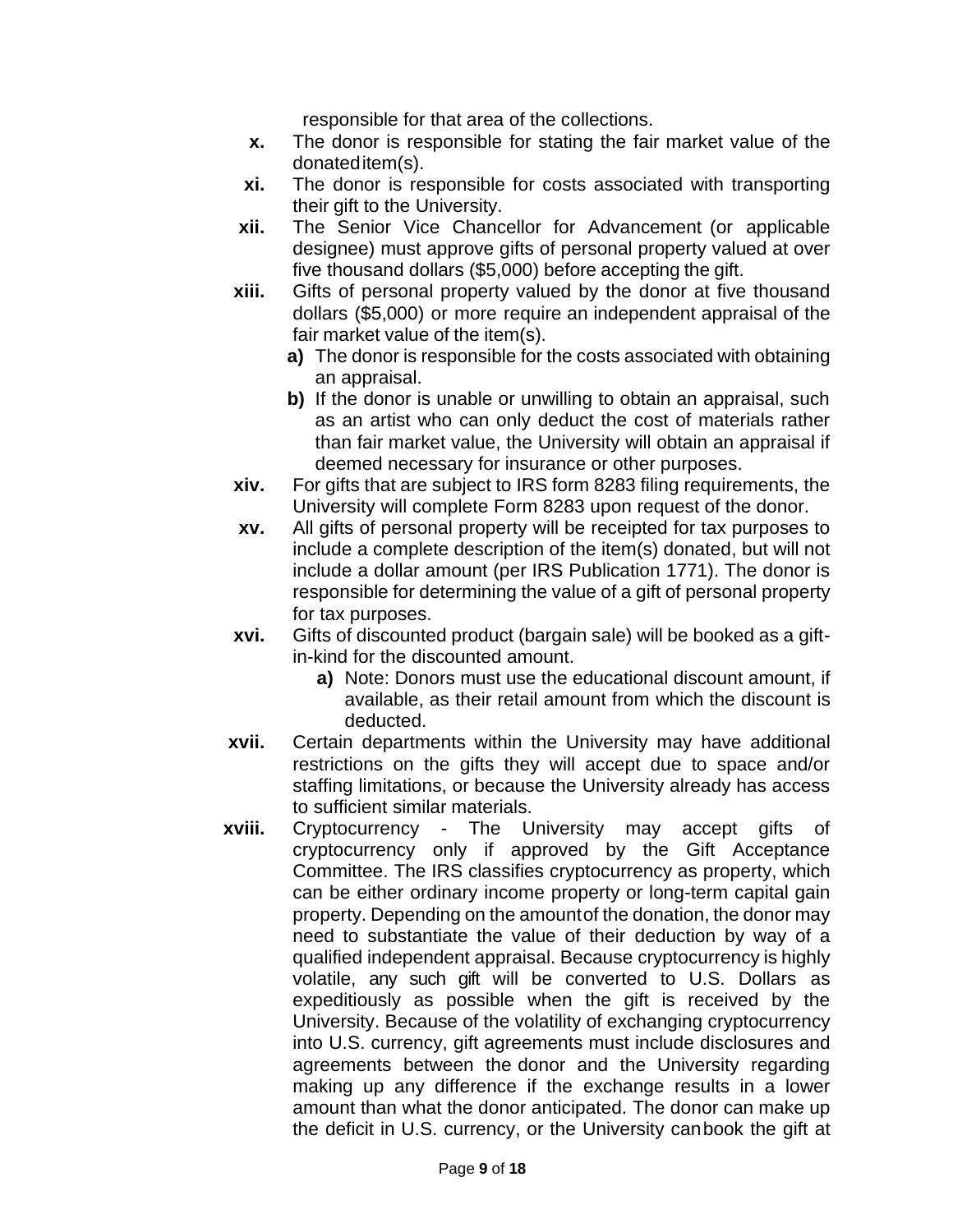responsible for that area of the collections.

- **x.** The donor is responsible for stating the fair market value of the donateditem(s).
- **xi.** The donor is responsible for costs associated with transporting their gift to the University.
- **xii.** The Senior Vice Chancellor for Advancement (or applicable designee) must approve gifts of personal property valued at over five thousand dollars (\$5,000) before accepting the gift.
- **xiii.** Gifts of personal property valued by the donor at five thousand dollars (\$5,000) or more require an independent appraisal of the fair market value of the item(s).
	- **a)** The donor is responsible for the costs associated with obtaining an appraisal.
	- **b)** If the donor is unable or unwilling to obtain an appraisal, such as an artist who can only deduct the cost of materials rather than fair market value, the University will obtain an appraisal if deemed necessary for insurance or other purposes.
- **xiv.** For gifts that are subject to IRS form 8283 filing requirements, the University will complete Form 8283 upon request of the donor.
- **xv.** All gifts of personal property will be receipted for tax purposes to include a complete description of the item(s) donated, but will not include a dollar amount (per IRS Publication 1771). The donor is responsible for determining the value of a gift of personal property for tax purposes.
- **xvi.** Gifts of discounted product (bargain sale) will be booked as a giftin-kind for the discounted amount.
	- **a)** Note: Donors must use the educational discount amount, if available, as their retail amount from which the discount is deducted.
- **xvii.** Certain departments within the University may have additional restrictions on the gifts they will accept due to space and/or staffing limitations, or because the University already has access to sufficient similar materials.
- **xviii.** Cryptocurrency The University may accept gifts of cryptocurrency only if approved by the Gift Acceptance Committee. The IRS classifies cryptocurrency as property, which can be either ordinary income property or long-term capital gain property. Depending on the amountof the donation, the donor may need to substantiate the value of their deduction by way of a qualified independent appraisal. Because cryptocurrency is highly volatile, any such gift will be converted to U.S. Dollars as expeditiously as possible when the gift is received by the University. Because of the volatility of exchanging cryptocurrency into U.S. currency, gift agreements must include disclosures and agreements between the donor and the University regarding making up any difference if the exchange results in a lower amount than what the donor anticipated. The donor can make up the deficit in U.S. currency, or the University canbook the gift at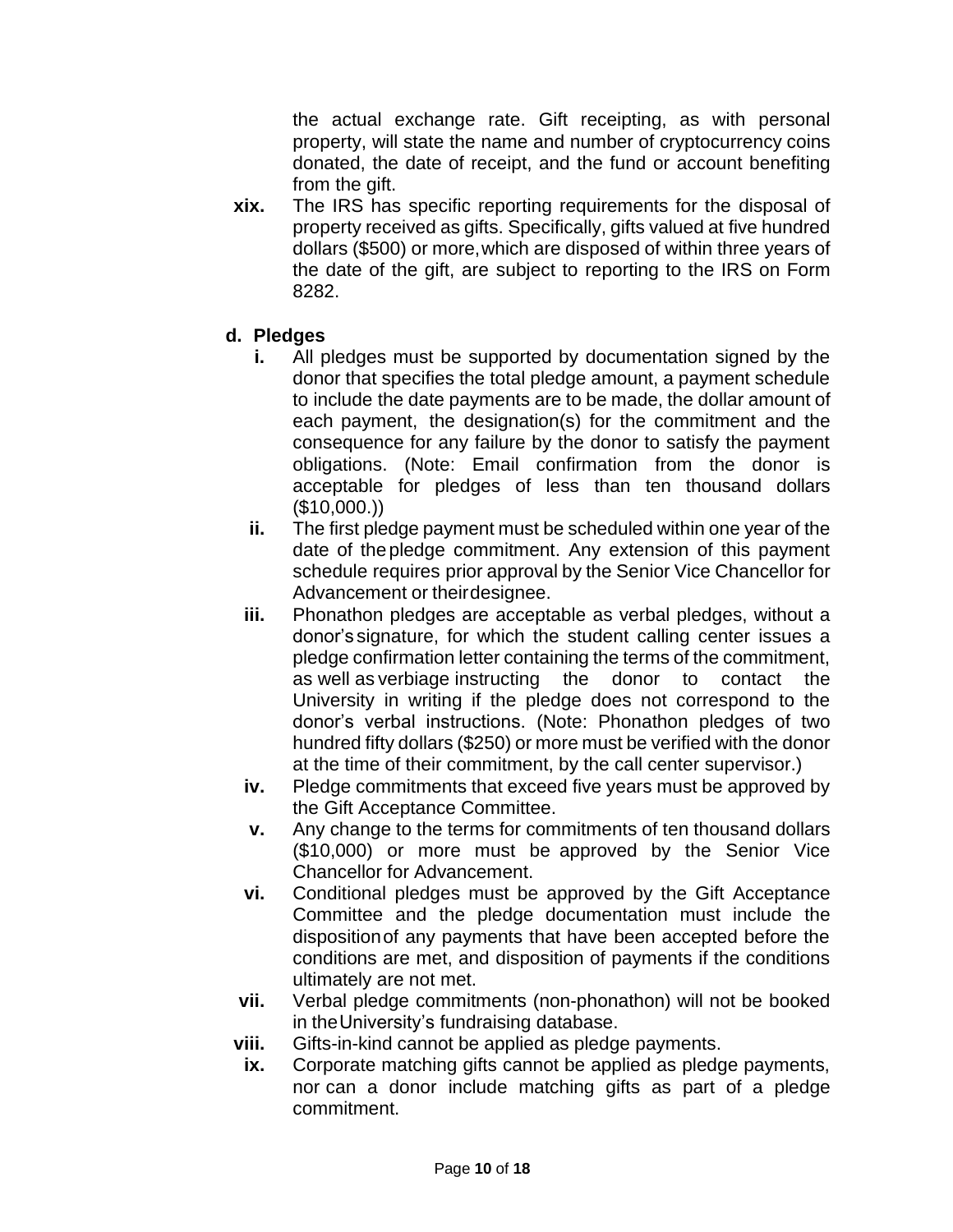the actual exchange rate. Gift receipting, as with personal property, will state the name and number of cryptocurrency coins donated, the date of receipt, and the fund or account benefiting from the gift.

**xix.** The IRS has specific reporting requirements for the disposal of property received as gifts. Specifically, gifts valued at five hundred dollars (\$500) or more,which are disposed of within three years of the date of the gift, are subject to reporting to the IRS on Form 8282.

## **d. Pledges**

- **i.** All pledges must be supported by documentation signed by the donor that specifies the total pledge amount, a payment schedule to include the date payments are to be made, the dollar amount of each payment, the designation(s) for the commitment and the consequence for any failure by the donor to satisfy the payment obligations. (Note: Email confirmation from the donor is acceptable for pledges of less than ten thousand dollars  $($10,000.$ )
- **ii.** The first pledge payment must be scheduled within one year of the date of the pledge commitment. Any extension of this payment schedule requires prior approval by the Senior Vice Chancellor for Advancement or theirdesignee.
- **iii.** Phonathon pledges are acceptable as verbal pledges, without a donor's signature, for which the student calling center issues a pledge confirmation letter containing the terms of the commitment, as well as verbiage instructing the donor to contact the University in writing if the pledge does not correspond to the donor's verbal instructions. (Note: Phonathon pledges of two hundred fifty dollars (\$250) or more must be verified with the donor at the time of their commitment, by the call center supervisor.)
- **iv.** Pledge commitments that exceed five years must be approved by the Gift Acceptance Committee.
- **v.** Any change to the terms for commitments of ten thousand dollars (\$10,000) or more must be approved by the Senior Vice Chancellor for Advancement.
- **vi.** Conditional pledges must be approved by the Gift Acceptance Committee and the pledge documentation must include the dispositionof any payments that have been accepted before the conditions are met, and disposition of payments if the conditions ultimately are not met.
- **vii.** Verbal pledge commitments (non-phonathon) will not be booked in theUniversity's fundraising database.
- **viii.** Gifts-in-kind cannot be applied as pledge payments.
- **ix.** Corporate matching gifts cannot be applied as pledge payments, nor can a donor include matching gifts as part of a pledge commitment.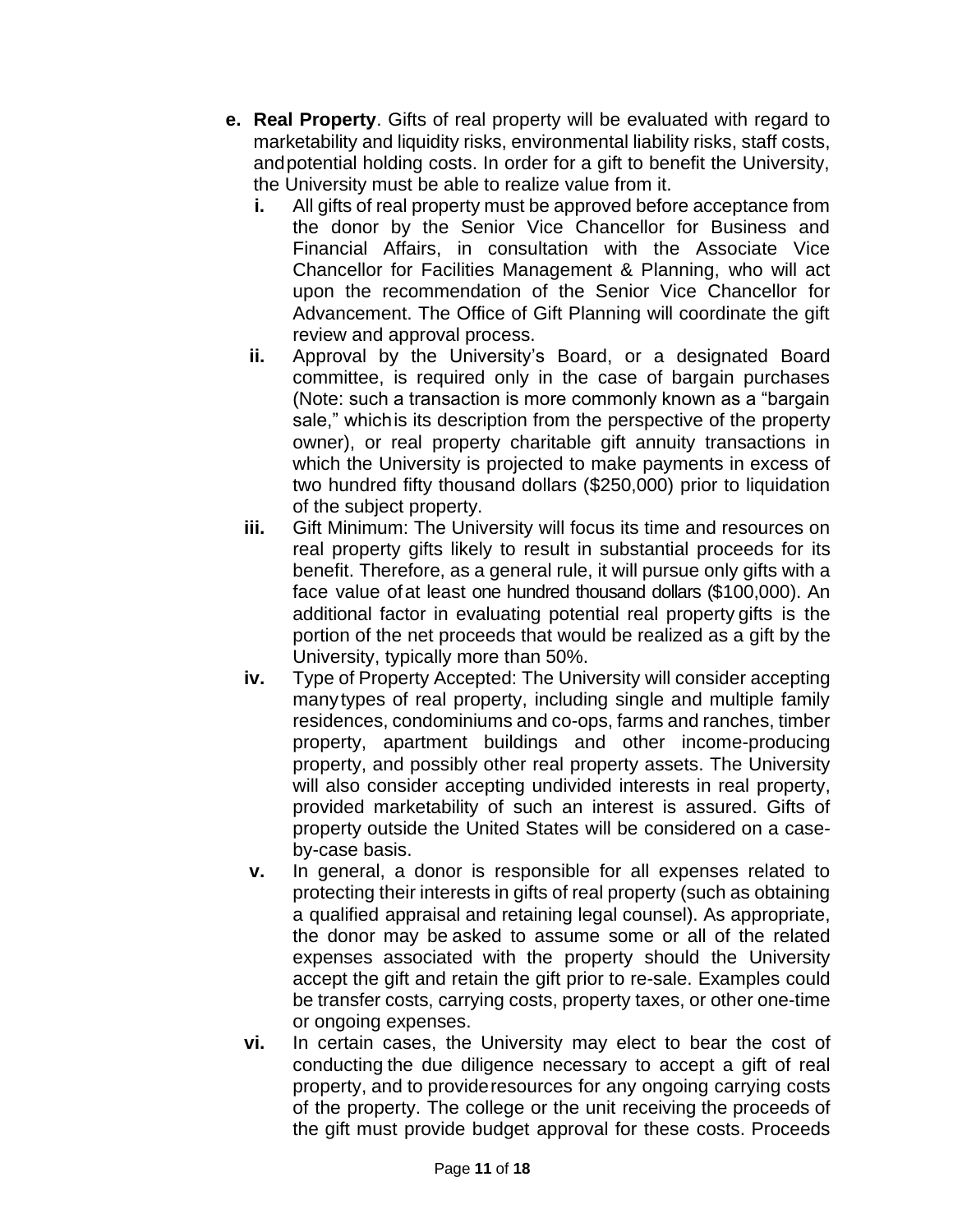- **e. Real Property**. Gifts of real property will be evaluated with regard to marketability and liquidity risks, environmental liability risks, staff costs, andpotential holding costs. In order for a gift to benefit the University, the University must be able to realize value from it.
	- **i.** All gifts of real property must be approved before acceptance from the donor by the Senior Vice Chancellor for Business and Financial Affairs, in consultation with the Associate Vice Chancellor for Facilities Management & Planning, who will act upon the recommendation of the Senior Vice Chancellor for Advancement. The Office of Gift Planning will coordinate the gift review and approval process.
	- **ii.** Approval by the University's Board, or a designated Board committee, is required only in the case of bargain purchases (Note: such a transaction is more commonly known as a "bargain sale," whichis its description from the perspective of the property owner), or real property charitable gift annuity transactions in which the University is projected to make payments in excess of two hundred fifty thousand dollars (\$250,000) prior to liquidation of the subject property.
	- **iii.** Gift Minimum: The University will focus its time and resources on real property gifts likely to result in substantial proceeds for its benefit. Therefore, as a general rule, it will pursue only gifts with a face value ofat least one hundred thousand dollars (\$100,000). An additional factor in evaluating potential real property gifts is the portion of the net proceeds that would be realized as a gift by the University, typically more than 50%.
	- **iv.** Type of Property Accepted: The University will consider accepting manytypes of real property, including single and multiple family residences, condominiums and co-ops, farms and ranches, timber property, apartment buildings and other income-producing property, and possibly other real property assets. The University will also consider accepting undivided interests in real property, provided marketability of such an interest is assured. Gifts of property outside the United States will be considered on a caseby-case basis.
	- **v.** In general, a donor is responsible for all expenses related to protecting their interests in gifts of real property (such as obtaining a qualified appraisal and retaining legal counsel). As appropriate, the donor may be asked to assume some or all of the related expenses associated with the property should the University accept the gift and retain the gift prior to re-sale. Examples could be transfer costs, carrying costs, property taxes, or other one-time or ongoing expenses.
	- **vi.** In certain cases, the University may elect to bear the cost of conducting the due diligence necessary to accept a gift of real property, and to provideresources for any ongoing carrying costs of the property. The college or the unit receiving the proceeds of the gift must provide budget approval for these costs. Proceeds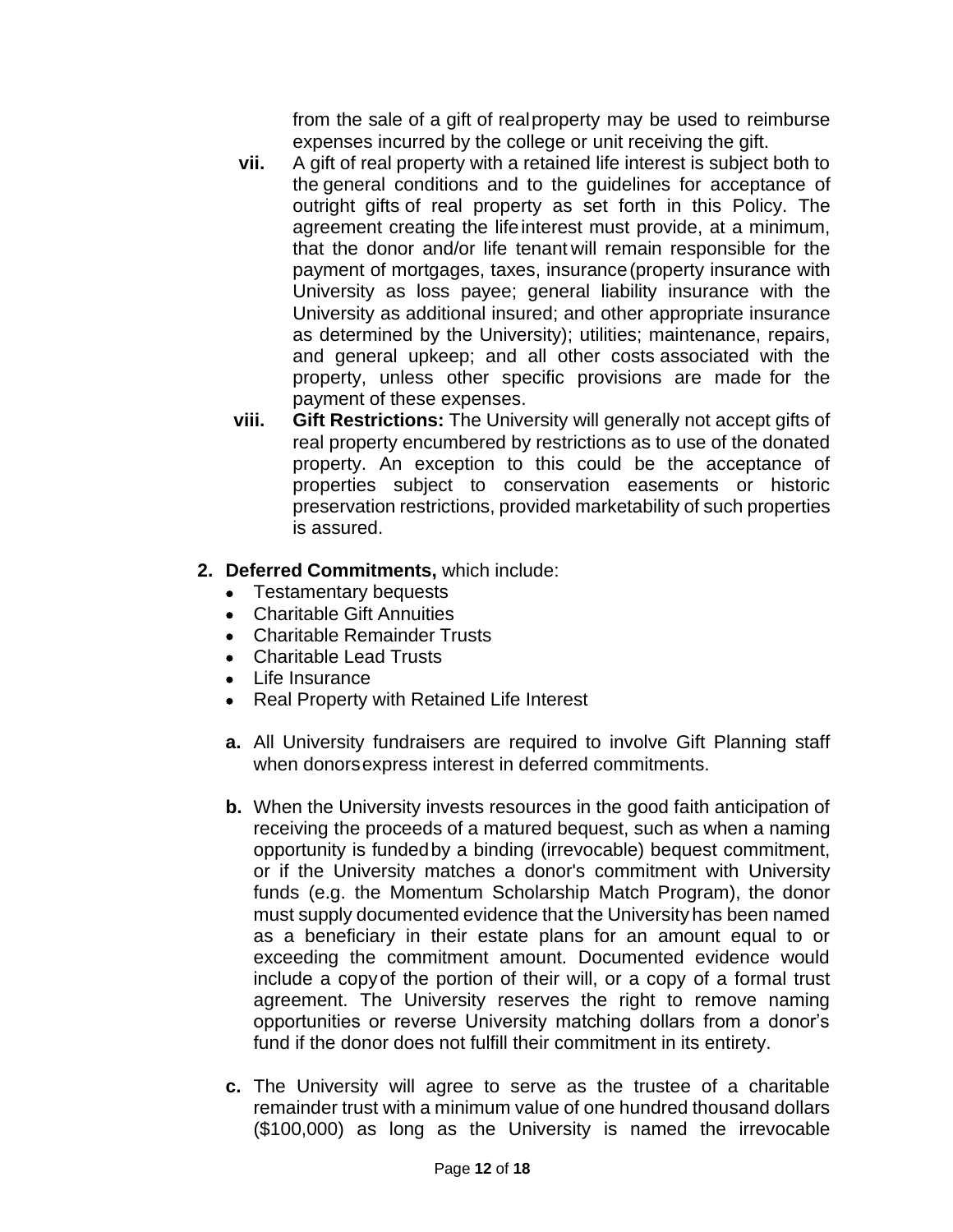from the sale of a gift of realproperty may be used to reimburse expenses incurred by the college or unit receiving the gift.

- **vii.** A gift of real property with a retained life interest is subject both to the general conditions and to the guidelines for acceptance of outright gifts of real property as set forth in this Policy. The agreement creating the lifeinterest must provide, at a minimum, that the donor and/or life tenant will remain responsible for the payment of mortgages, taxes, insurance(property insurance with University as loss payee; general liability insurance with the University as additional insured; and other appropriate insurance as determined by the University); utilities; maintenance, repairs, and general upkeep; and all other costs associated with the property, unless other specific provisions are made for the payment of these expenses.
- **viii. Gift Restrictions:** The University will generally not accept gifts of real property encumbered by restrictions as to use of the donated property. An exception to this could be the acceptance of properties subject to conservation easements or historic preservation restrictions, provided marketability of such properties is assured.

### **2. Deferred Commitments,** which include:

- Testamentary bequests
- Charitable Gift Annuities
- Charitable Remainder Trusts
- Charitable Lead Trusts
- Life Insurance
- Real Property with Retained Life Interest
- **a.** All University fundraisers are required to involve Gift Planning staff when donorsexpress interest in deferred commitments.
- **b.** When the University invests resources in the good faith anticipation of receiving the proceeds of a matured bequest, such as when a naming opportunity is fundedby a binding (irrevocable) bequest commitment, or if the University matches a donor's commitment with University funds (e.g. the Momentum Scholarship Match Program), the donor must supply documented evidence that the University has been named as a beneficiary in their estate plans for an amount equal to or exceeding the commitment amount. Documented evidence would include a copyof the portion of their will, or a copy of a formal trust agreement. The University reserves the right to remove naming opportunities or reverse University matching dollars from a donor's fund if the donor does not fulfill their commitment in its entirety.
- **c.** The University will agree to serve as the trustee of a charitable remainder trust with a minimum value of one hundred thousand dollars (\$100,000) as long as the University is named the irrevocable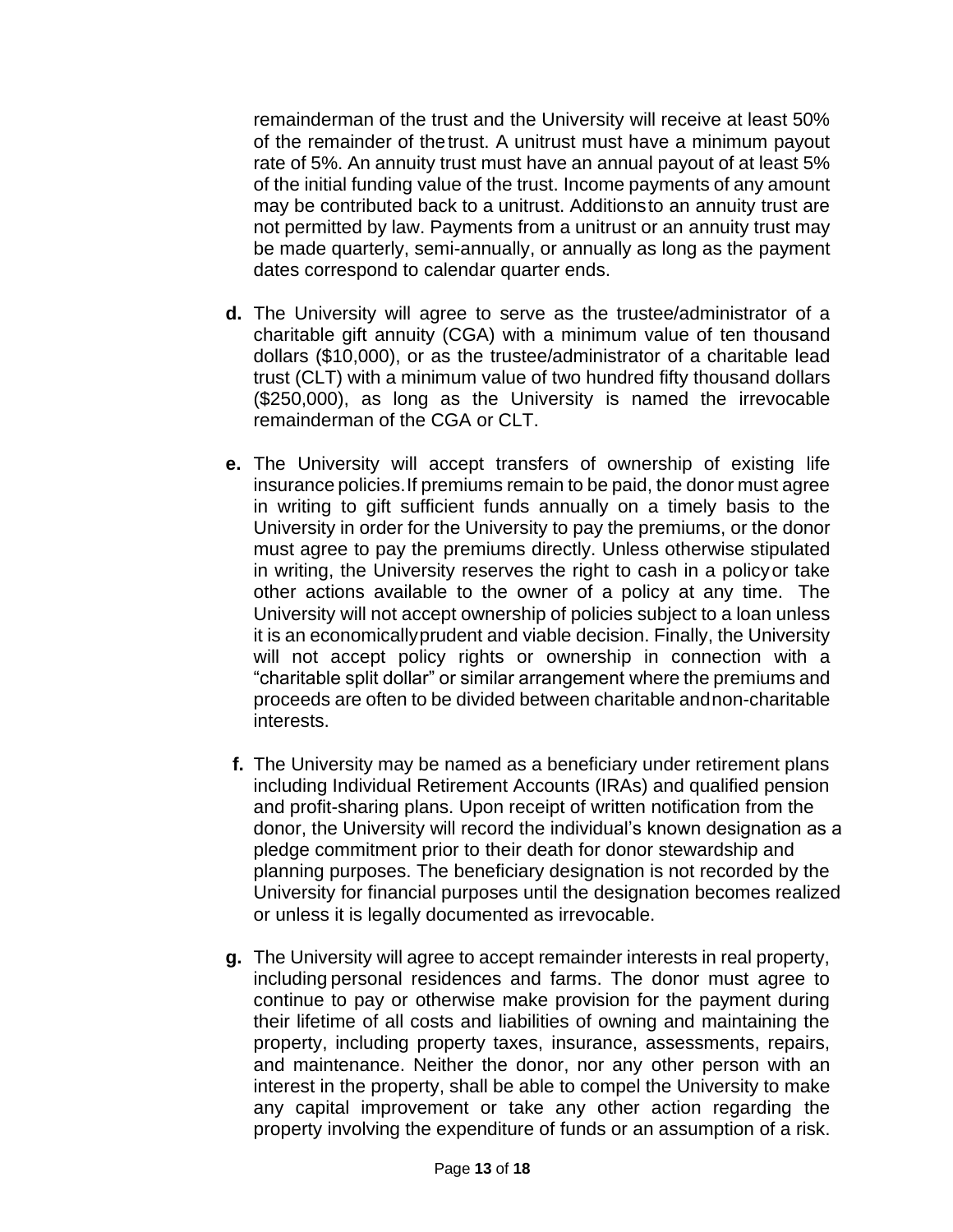remainderman of the trust and the University will receive at least 50% of the remainder of thetrust. A unitrust must have a minimum payout rate of 5%. An annuity trust must have an annual payout of at least 5% of the initial funding value of the trust. Income payments of any amount may be contributed back to a unitrust. Additionsto an annuity trust are not permitted by law. Payments from a unitrust or an annuity trust may be made quarterly, semi-annually, or annually as long as the payment dates correspond to calendar quarter ends.

- **d.** The University will agree to serve as the trustee/administrator of a charitable gift annuity (CGA) with a minimum value of ten thousand dollars (\$10,000), or as the trustee/administrator of a charitable lead trust (CLT) with a minimum value of two hundred fifty thousand dollars (\$250,000), as long as the University is named the irrevocable remainderman of the CGA or CLT.
- **e.** The University will accept transfers of ownership of existing life insurance policies.If premiums remain to be paid, the donor must agree in writing to gift sufficient funds annually on a timely basis to the University in order for the University to pay the premiums, or the donor must agree to pay the premiums directly. Unless otherwise stipulated in writing, the University reserves the right to cash in a policyor take other actions available to the owner of a policy at any time. The University will not accept ownership of policies subject to a loan unless it is an economicallyprudent and viable decision. Finally, the University will not accept policy rights or ownership in connection with a "charitable split dollar" or similar arrangement where the premiums and proceeds are often to be divided between charitable andnon-charitable interests.
- **f.** The University may be named as a beneficiary under retirement plans including Individual Retirement Accounts (IRAs) and qualified pension and profit-sharing plans. Upon receipt of written notification from the donor, the University will record the individual's known designation as a pledge commitment prior to their death for donor stewardship and planning purposes. The beneficiary designation is not recorded by the University for financial purposes until the designation becomes realized or unless it is legally documented as irrevocable.
- **g.** The University will agree to accept remainder interests in real property, including personal residences and farms. The donor must agree to continue to pay or otherwise make provision for the payment during their lifetime of all costs and liabilities of owning and maintaining the property, including property taxes, insurance, assessments, repairs, and maintenance. Neither the donor, nor any other person with an interest in the property, shall be able to compel the University to make any capital improvement or take any other action regarding the property involving the expenditure of funds or an assumption of a risk.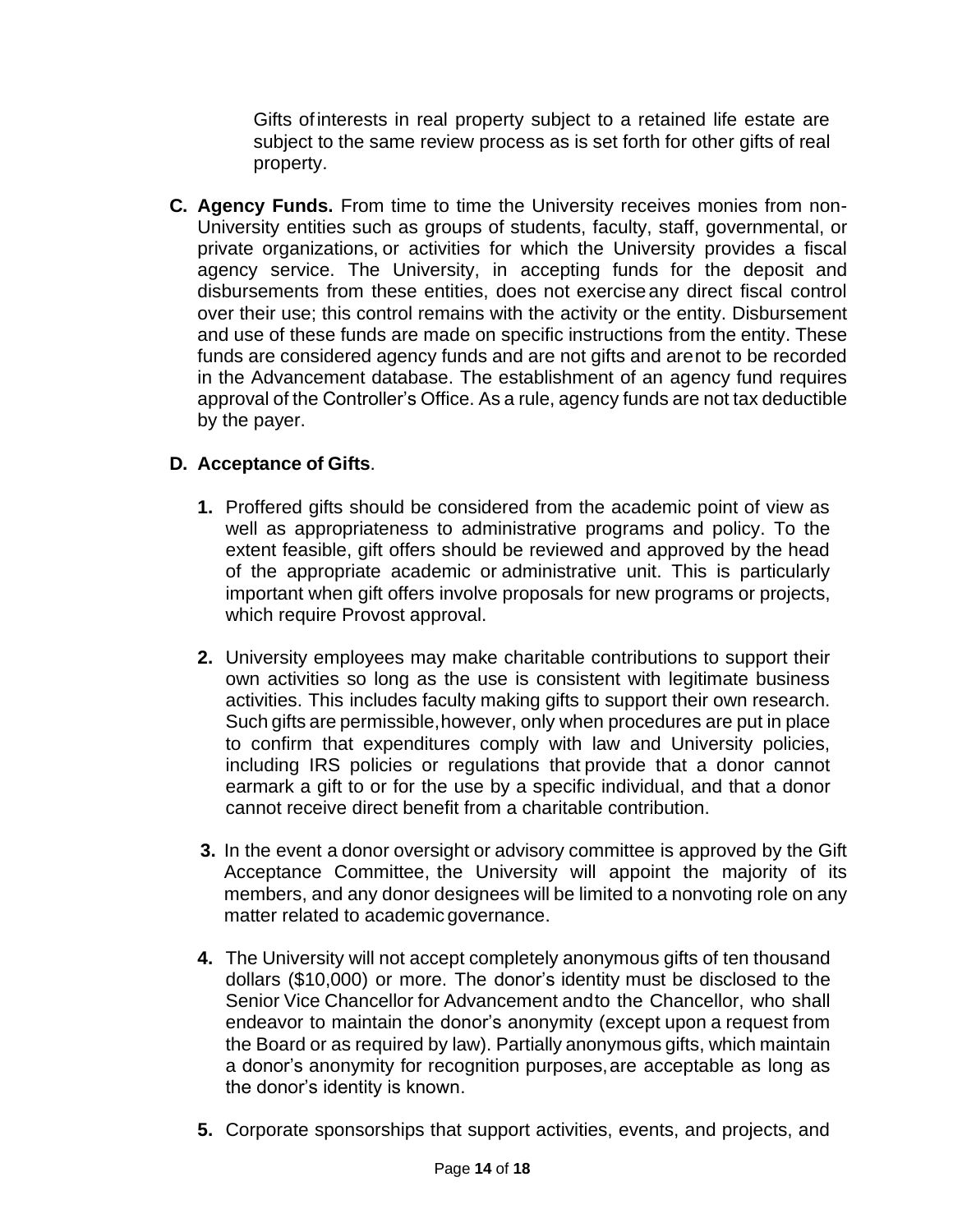Gifts ofinterests in real property subject to a retained life estate are subject to the same review process as is set forth for other gifts of real property.

**C. Agency Funds.** From time to time the University receives monies from non-University entities such as groups of students, faculty, staff, governmental, or private organizations, or activities for which the University provides a fiscal agency service. The University, in accepting funds for the deposit and disbursements from these entities, does not exerciseany direct fiscal control over their use; this control remains with the activity or the entity. Disbursement and use of these funds are made on specific instructions from the entity. These funds are considered agency funds and are not gifts and arenot to be recorded in the Advancement database. The establishment of an agency fund requires approval of the Controller's Office. As a rule, agency funds are not tax deductible by the payer.

## **D. Acceptance of Gifts**.

- **1.** Proffered gifts should be considered from the academic point of view as well as appropriateness to administrative programs and policy. To the extent feasible, gift offers should be reviewed and approved by the head of the appropriate academic or administrative unit. This is particularly important when gift offers involve proposals for new programs or projects, which require Provost approval.
- **2.** University employees may make charitable contributions to support their own activities so long as the use is consistent with legitimate business activities. This includes faculty making gifts to support their own research. Such gifts are permissible,however, only when procedures are put in place to confirm that expenditures comply with law and University policies, including IRS policies or regulations that provide that a donor cannot earmark a gift to or for the use by a specific individual, and that a donor cannot receive direct benefit from a charitable contribution.
- **3.** In the event a donor oversight or advisory committee is approved by the Gift Acceptance Committee, the University will appoint the majority of its members, and any donor designees will be limited to a nonvoting role on any matter related to academic governance.
- **4.** The University will not accept completely anonymous gifts of ten thousand dollars (\$10,000) or more. The donor's identity must be disclosed to the Senior Vice Chancellor for Advancement andto the Chancellor, who shall endeavor to maintain the donor's anonymity (except upon a request from the Board or as required by law). Partially anonymous gifts, which maintain a donor's anonymity for recognition purposes,are acceptable as long as the donor's identity is known.
- **5.** Corporate sponsorships that support activities, events, and projects, and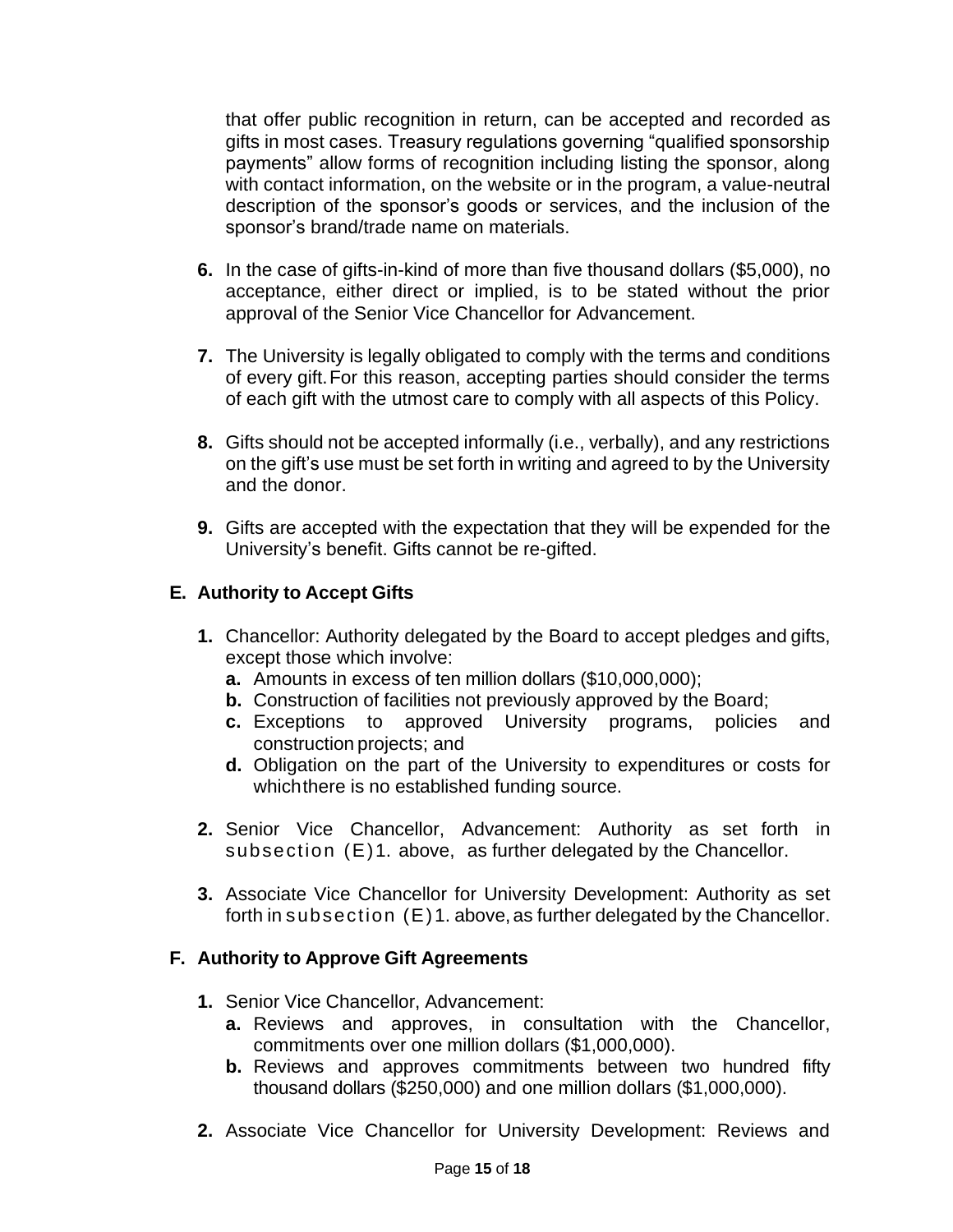that offer public recognition in return, can be accepted and recorded as gifts in most cases. Treasury regulations governing "qualified sponsorship payments" allow forms of recognition including listing the sponsor, along with contact information, on the website or in the program, a value-neutral description of the sponsor's goods or services, and the inclusion of the sponsor's brand/trade name on materials.

- **6.** In the case of gifts-in-kind of more than five thousand dollars (\$5,000), no acceptance, either direct or implied, is to be stated without the prior approval of the Senior Vice Chancellor for Advancement.
- **7.** The University is legally obligated to comply with the terms and conditions of every gift.For this reason, accepting parties should consider the terms of each gift with the utmost care to comply with all aspects of this Policy.
- **8.** Gifts should not be accepted informally (i.e., verbally), and any restrictions on the gift's use must be set forth in writing and agreed to by the University and the donor.
- **9.** Gifts are accepted with the expectation that they will be expended for the University's benefit. Gifts cannot be re-gifted.

#### **E. Authority to Accept Gifts**

- **1.** Chancellor: Authority delegated by the Board to accept pledges and gifts, except those which involve:
	- **a.** Amounts in excess of ten million dollars (\$10,000,000);
	- **b.** Construction of facilities not previously approved by the Board;
	- **c.** Exceptions to approved University programs, policies and construction projects; and
	- **d.** Obligation on the part of the University to expenditures or costs for which there is no established funding source.
- **2.** Senior Vice Chancellor, Advancement: Authority as set forth in subsection (E)1. above, as further delegated by the Chancellor.
- **3.** Associate Vice Chancellor for University Development: Authority as set forth in subsection (E)1. above, as further delegated by the Chancellor.

#### **F. Authority to Approve Gift Agreements**

- **1.** Senior Vice Chancellor, Advancement:
	- **a.** Reviews and approves, in consultation with the Chancellor, commitments over one million dollars (\$1,000,000).
	- **b.** Reviews and approves commitments between two hundred fifty thousand dollars (\$250,000) and one million dollars (\$1,000,000).
- **2.** Associate Vice Chancellor for University Development: Reviews and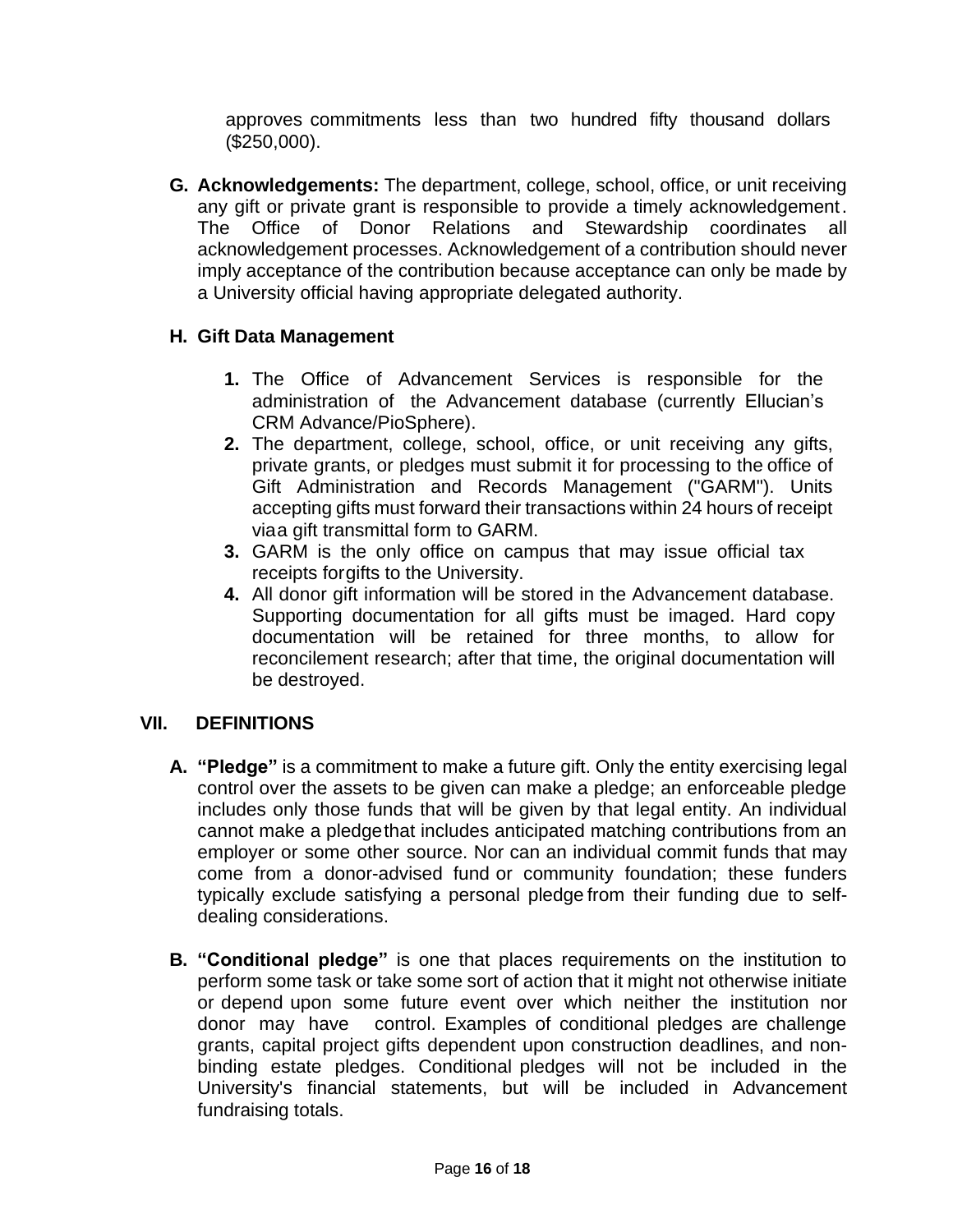approves commitments less than two hundred fifty thousand dollars (\$250,000).

**G. Acknowledgements:** The department, college, school, office, or unit receiving any gift or private grant is responsible to provide a timely acknowledgement. The Office of Donor Relations and Stewardship coordinates all acknowledgement processes. Acknowledgement of a contribution should never imply acceptance of the contribution because acceptance can only be made by a University official having appropriate delegated authority.

### **H. Gift Data Management**

- **1.** The Office of Advancement Services is responsible for the administration of the Advancement database (currently Ellucian's CRM Advance/PioSphere).
- **2.** The department, college, school, office, or unit receiving any gifts, private grants, or pledges must submit it for processing to the office of Gift Administration and Records Management ("GARM"). Units accepting gifts must forward their transactions within 24 hours of receipt viaa gift transmittal form to GARM.
- **3.** GARM is the only office on campus that may issue official tax receipts forgifts to the University.
- **4.** All donor gift information will be stored in the Advancement database. Supporting documentation for all gifts must be imaged. Hard copy documentation will be retained for three months, to allow for reconcilement research; after that time, the original documentation will be destroyed.

## **VII. DEFINITIONS**

- **A. "Pledge"** is a commitment to make a future gift. Only the entity exercising legal control over the assets to be given can make a pledge; an enforceable pledge includes only those funds that will be given by that legal entity. An individual cannot make a pledgethat includes anticipated matching contributions from an employer or some other source. Nor can an individual commit funds that may come from a donor-advised fund or community foundation; these funders typically exclude satisfying a personal pledge from their funding due to selfdealing considerations.
- **B. "Conditional pledge"** is one that places requirements on the institution to perform some task or take some sort of action that it might not otherwise initiate or depend upon some future event over which neither the institution nor donor may have control. Examples of conditional pledges are challenge grants, capital project gifts dependent upon construction deadlines, and nonbinding estate pledges. Conditional pledges will not be included in the University's financial statements, but will be included in Advancement fundraising totals.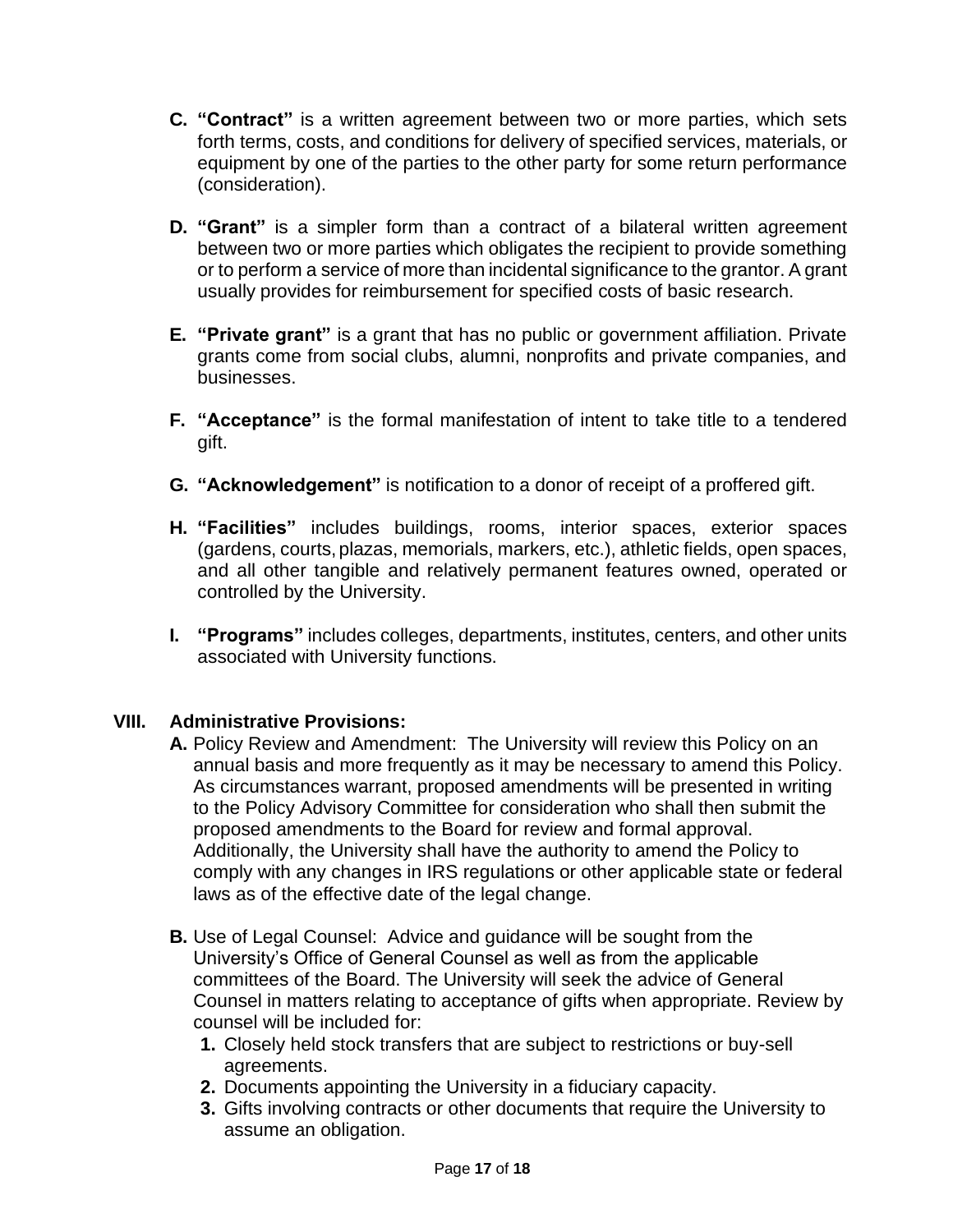- **C. "Contract"** is a written agreement between two or more parties, which sets forth terms, costs, and conditions for delivery of specified services, materials, or equipment by one of the parties to the other party for some return performance (consideration).
- **D. "Grant"** is a simpler form than a contract of a bilateral written agreement between two or more parties which obligates the recipient to provide something or to perform a service of more than incidental significance to the grantor. A grant usually provides for reimbursement for specified costs of basic research.
- **E. "Private grant"** is a grant that has no public or government affiliation. Private grants come from social clubs, alumni, nonprofits and private companies, and businesses.
- **F. "Acceptance"** is the formal manifestation of intent to take title to a tendered gift.
- **G. "Acknowledgement"** is notification to a donor of receipt of a proffered gift.
- **H. "Facilities"** includes buildings, rooms, interior spaces, exterior spaces (gardens, courts,plazas, memorials, markers, etc.), athletic fields, open spaces, and all other tangible and relatively permanent features owned, operated or controlled by the University.
- **I. "Programs"** includes colleges, departments, institutes, centers, and other units associated with University functions.

#### **VIII. Administrative Provisions:**

- **A.** Policy Review and Amendment: The University will review this Policy on an annual basis and more frequently as it may be necessary to amend this Policy. As circumstances warrant, proposed amendments will be presented in writing to the Policy Advisory Committee for consideration who shall then submit the proposed amendments to the Board for review and formal approval. Additionally, the University shall have the authority to amend the Policy to comply with any changes in IRS regulations or other applicable state or federal laws as of the effective date of the legal change.
- **B.** Use of Legal Counsel: Advice and guidance will be sought from the University's Office of General Counsel as well as from the applicable committees of the Board. The University will seek the advice of General Counsel in matters relating to acceptance of gifts when appropriate. Review by counsel will be included for:
	- **1.** Closely held stock transfers that are subject to restrictions or buy-sell agreements.
	- **2.** Documents appointing the University in a fiduciary capacity.
	- **3.** Gifts involving contracts or other documents that require the University to assume an obligation.